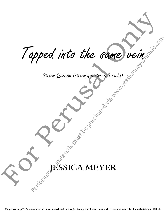SSICA MEYER Tapped into the same veins *String Quintet (string quartet and viola)* Tapped into the same veins pped into the same vein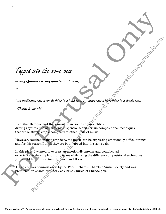Tapped into the same vein

*String Quintet (string quartet and viola)*

*7'*

*"An intellectual says a simple thing in a hard way. An artist says a hard thing in a simple way." - Charles Bukowski*

I feel that Baroque and Rock music share some commonalities; driving rhythms, use of harmonic suspensions, and certain compositional techniques that are relatively simple compared to other kinds of music.

However, couched in that simplicity, the music can be expressing emotionally difficult things and for this reason I think they are both tapped into the same vein.

In this piece, I wanted to express an emotionally intense and complicated experience in the simplest music terms while using the different compositional techniques you would find from artists like Bach and Bowie. Tapped into the same vein<br>
string Quinter (string quartet and viable)<br>
7<br>
"An institutent (string quartet and viable)<br>
7<br>
"An institutent stays a single thing in a half and and a part area a high noise in a single easy."<br> in the the same vein<br>
the state and the same vertext and winds are a material state in a simple way.<br>
and stay a simple thing in a hard way. An artist stay a high thing in a simple way."<br>
above the purchase of the purchas

This piece was commissioned by the Poor Richard's Chamber Music Society and was premiered on March 3rd, 2017 at Christ Church of Philadelphia.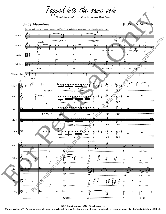Tapped into the same vein

*Commissioned by the Poor Richard's Chamber Music Society*



©2017 JMM Publishing (BMI). All rights reserved.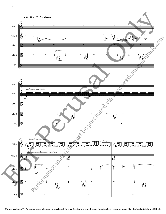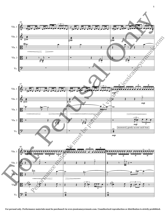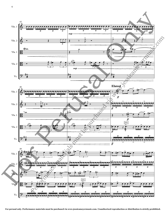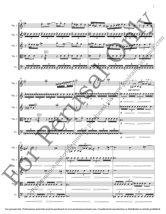

For perusal only. Performance materials must be purchased via www.jessicameyermusic.com. Unauthorized reproduction or distribution is strictly prohibited.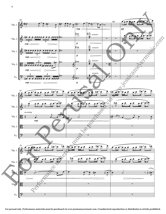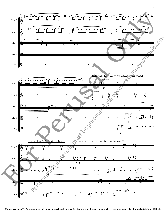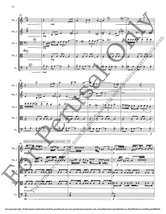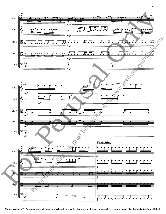

For perusal only. Performance materials must be purchased via www.jessicameyermusic.com. Unauthorized reproduction or distribution is strictly prohibited.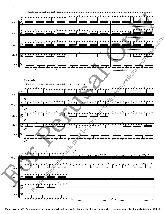

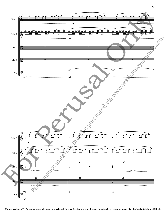